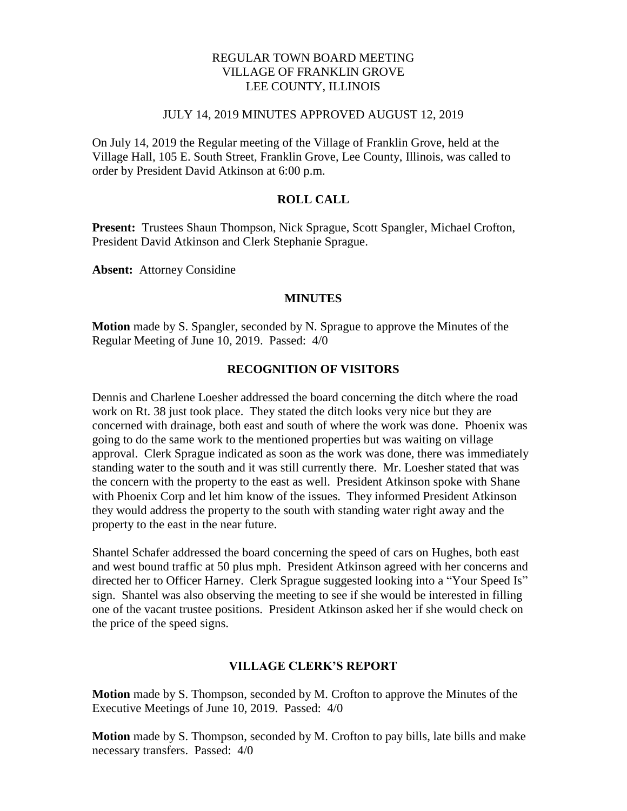# REGULAR TOWN BOARD MEETING VILLAGE OF FRANKLIN GROVE LEE COUNTY, ILLINOIS

#### JULY 14, 2019 MINUTES APPROVED AUGUST 12, 2019

On July 14, 2019 the Regular meeting of the Village of Franklin Grove, held at the Village Hall, 105 E. South Street, Franklin Grove, Lee County, Illinois, was called to order by President David Atkinson at 6:00 p.m.

## **ROLL CALL**

**Present:** Trustees Shaun Thompson, Nick Sprague, Scott Spangler, Michael Crofton, President David Atkinson and Clerk Stephanie Sprague.

**Absent:** Attorney Considine

#### **MINUTES**

**Motion** made by S. Spangler, seconded by N. Sprague to approve the Minutes of the Regular Meeting of June 10, 2019. Passed: 4/0

## **RECOGNITION OF VISITORS**

Dennis and Charlene Loesher addressed the board concerning the ditch where the road work on Rt. 38 just took place. They stated the ditch looks very nice but they are concerned with drainage, both east and south of where the work was done. Phoenix was going to do the same work to the mentioned properties but was waiting on village approval. Clerk Sprague indicated as soon as the work was done, there was immediately standing water to the south and it was still currently there. Mr. Loesher stated that was the concern with the property to the east as well. President Atkinson spoke with Shane with Phoenix Corp and let him know of the issues. They informed President Atkinson they would address the property to the south with standing water right away and the property to the east in the near future.

Shantel Schafer addressed the board concerning the speed of cars on Hughes, both east and west bound traffic at 50 plus mph. President Atkinson agreed with her concerns and directed her to Officer Harney. Clerk Sprague suggested looking into a "Your Speed Is" sign. Shantel was also observing the meeting to see if she would be interested in filling one of the vacant trustee positions. President Atkinson asked her if she would check on the price of the speed signs.

### **VILLAGE CLERK'S REPORT**

**Motion** made by S. Thompson, seconded by M. Crofton to approve the Minutes of the Executive Meetings of June 10, 2019. Passed: 4/0

**Motion** made by S. Thompson, seconded by M. Crofton to pay bills, late bills and make necessary transfers. Passed: 4/0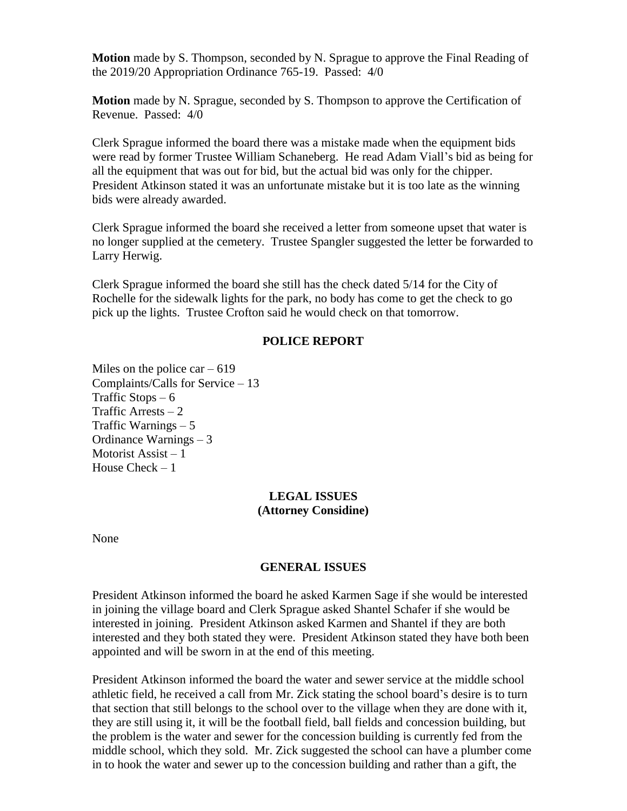**Motion** made by S. Thompson, seconded by N. Sprague to approve the Final Reading of the 2019/20 Appropriation Ordinance 765-19. Passed: 4/0

**Motion** made by N. Sprague, seconded by S. Thompson to approve the Certification of Revenue. Passed: 4/0

Clerk Sprague informed the board there was a mistake made when the equipment bids were read by former Trustee William Schaneberg. He read Adam Viall's bid as being for all the equipment that was out for bid, but the actual bid was only for the chipper. President Atkinson stated it was an unfortunate mistake but it is too late as the winning bids were already awarded.

Clerk Sprague informed the board she received a letter from someone upset that water is no longer supplied at the cemetery. Trustee Spangler suggested the letter be forwarded to Larry Herwig.

Clerk Sprague informed the board she still has the check dated 5/14 for the City of Rochelle for the sidewalk lights for the park, no body has come to get the check to go pick up the lights. Trustee Crofton said he would check on that tomorrow.

## **POLICE REPORT**

Miles on the police car  $-619$ Complaints/Calls for Service – 13 Traffic Stops  $-6$ Traffic Arrests  $-2$ Traffic Warnings – 5 Ordinance Warnings – 3 Motorist Assist – 1 House Check – 1

## **LEGAL ISSUES (Attorney Considine)**

None

### **GENERAL ISSUES**

President Atkinson informed the board he asked Karmen Sage if she would be interested in joining the village board and Clerk Sprague asked Shantel Schafer if she would be interested in joining. President Atkinson asked Karmen and Shantel if they are both interested and they both stated they were. President Atkinson stated they have both been appointed and will be sworn in at the end of this meeting.

President Atkinson informed the board the water and sewer service at the middle school athletic field, he received a call from Mr. Zick stating the school board's desire is to turn that section that still belongs to the school over to the village when they are done with it, they are still using it, it will be the football field, ball fields and concession building, but the problem is the water and sewer for the concession building is currently fed from the middle school, which they sold. Mr. Zick suggested the school can have a plumber come in to hook the water and sewer up to the concession building and rather than a gift, the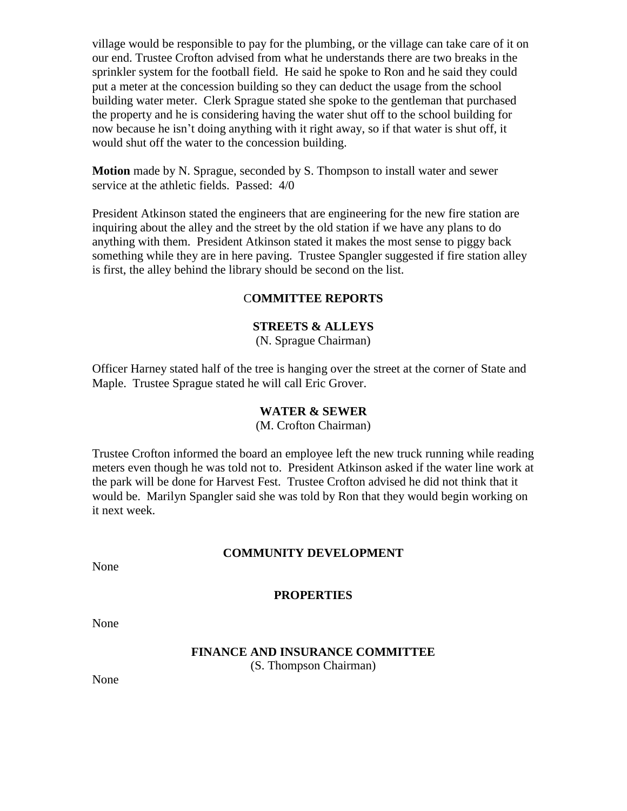village would be responsible to pay for the plumbing, or the village can take care of it on our end. Trustee Crofton advised from what he understands there are two breaks in the sprinkler system for the football field. He said he spoke to Ron and he said they could put a meter at the concession building so they can deduct the usage from the school building water meter. Clerk Sprague stated she spoke to the gentleman that purchased the property and he is considering having the water shut off to the school building for now because he isn't doing anything with it right away, so if that water is shut off, it would shut off the water to the concession building.

**Motion** made by N. Sprague, seconded by S. Thompson to install water and sewer service at the athletic fields. Passed: 4/0

President Atkinson stated the engineers that are engineering for the new fire station are inquiring about the alley and the street by the old station if we have any plans to do anything with them. President Atkinson stated it makes the most sense to piggy back something while they are in here paving. Trustee Spangler suggested if fire station alley is first, the alley behind the library should be second on the list.

# C**OMMITTEE REPORTS**

# **STREETS & ALLEYS**

(N. Sprague Chairman)

Officer Harney stated half of the tree is hanging over the street at the corner of State and Maple. Trustee Sprague stated he will call Eric Grover.

## **WATER & SEWER**

(M. Crofton Chairman)

Trustee Crofton informed the board an employee left the new truck running while reading meters even though he was told not to. President Atkinson asked if the water line work at the park will be done for Harvest Fest. Trustee Crofton advised he did not think that it would be. Marilyn Spangler said she was told by Ron that they would begin working on it next week.

## **COMMUNITY DEVELOPMENT**

None

### **PROPERTIES**

None

### **FINANCE AND INSURANCE COMMITTEE** (S. Thompson Chairman)

None